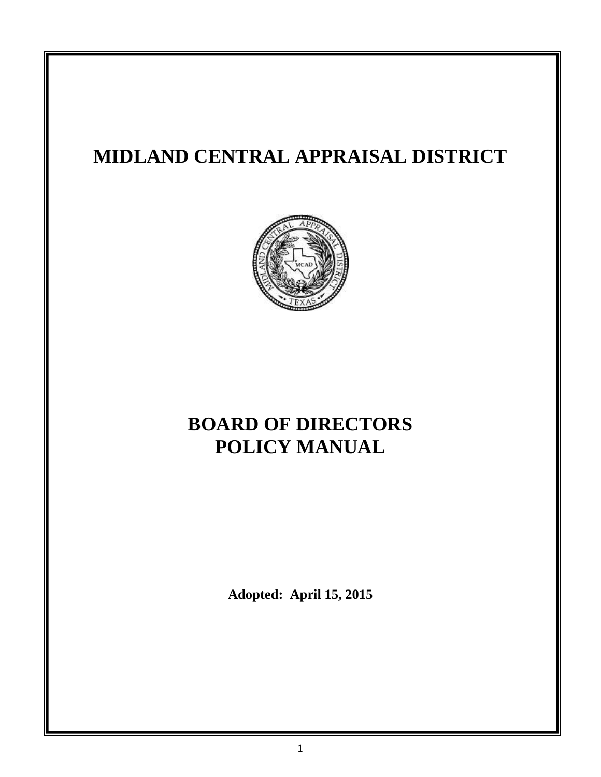# **MIDLAND CENTRAL APPRAISAL DISTRICT**



# **BOARD OF DIRECTORS POLICY MANUAL**

**Adopted: April 15, 2015**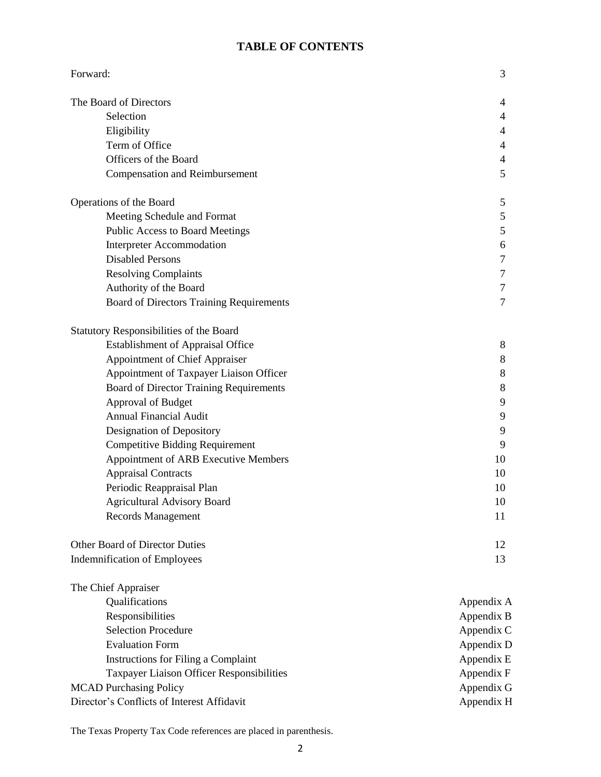# **TABLE OF CONTENTS**

| Forward:                                   | 3              |
|--------------------------------------------|----------------|
| The Board of Directors                     | 4              |
| Selection                                  | 4              |
| Eligibility                                | 4              |
| Term of Office                             | 4              |
| Officers of the Board                      | 4              |
| <b>Compensation and Reimbursement</b>      | 5              |
| Operations of the Board                    | 5              |
| Meeting Schedule and Format                | 5              |
| Public Access to Board Meetings            | 5              |
| <b>Interpreter Accommodation</b>           | 6              |
| <b>Disabled Persons</b>                    | 7              |
| <b>Resolving Complaints</b>                | 7              |
| Authority of the Board                     | 7              |
| Board of Directors Training Requirements   | $\overline{7}$ |
| Statutory Responsibilities of the Board    |                |
| <b>Establishment of Appraisal Office</b>   | 8              |
| Appointment of Chief Appraiser             | 8              |
| Appointment of Taxpayer Liaison Officer    | 8              |
| Board of Director Training Requirements    | 8              |
| Approval of Budget                         | 9              |
| <b>Annual Financial Audit</b>              | 9              |
| Designation of Depository                  | 9              |
| <b>Competitive Bidding Requirement</b>     | 9              |
| Appointment of ARB Executive Members       | 10             |
| <b>Appraisal Contracts</b>                 | 10             |
| Periodic Reappraisal Plan                  | 10             |
| <b>Agricultural Advisory Board</b>         | 10             |
| Records Management                         | 11             |
| <b>Other Board of Director Duties</b>      | 12             |
| <b>Indemnification of Employees</b>        | 13             |
| The Chief Appraiser                        |                |
| Qualifications                             | Appendix A     |
| Responsibilities                           | Appendix B     |
| <b>Selection Procedure</b>                 | Appendix C     |
| <b>Evaluation Form</b>                     | Appendix D     |
| Instructions for Filing a Complaint        | Appendix E     |
| Taxpayer Liaison Officer Responsibilities  | Appendix F     |
| <b>MCAD Purchasing Policy</b>              | Appendix G     |
| Director's Conflicts of Interest Affidavit | Appendix H     |

The Texas Property Tax Code references are placed in parenthesis.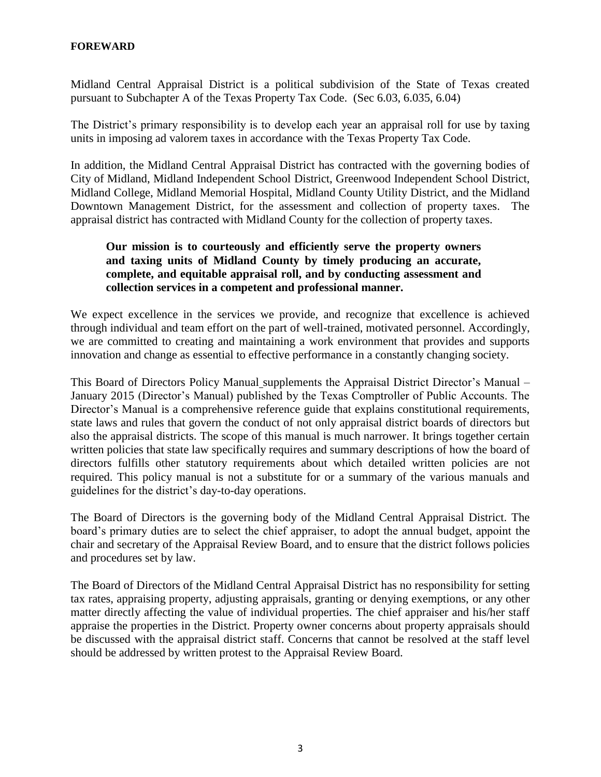#### **FOREWARD**

Midland Central Appraisal District is a political subdivision of the State of Texas created pursuant to Subchapter A of the Texas Property Tax Code. (Sec 6.03, 6.035, 6.04)

The District's primary responsibility is to develop each year an appraisal roll for use by taxing units in imposing ad valorem taxes in accordance with the Texas Property Tax Code.

In addition, the Midland Central Appraisal District has contracted with the governing bodies of City of Midland, Midland Independent School District, Greenwood Independent School District, Midland College, Midland Memorial Hospital, Midland County Utility District, and the Midland Downtown Management District, for the assessment and collection of property taxes. The appraisal district has contracted with Midland County for the collection of property taxes.

# **Our mission is to courteously and efficiently serve the property owners and taxing units of Midland County by timely producing an accurate, complete, and equitable appraisal roll, and by conducting assessment and collection services in a competent and professional manner.**

We expect excellence in the services we provide, and recognize that excellence is achieved through individual and team effort on the part of well-trained, motivated personnel. Accordingly, we are committed to creating and maintaining a work environment that provides and supports innovation and change as essential to effective performance in a constantly changing society.

This Board of Directors Policy Manual supplements the Appraisal District Director's Manual – January 2015 (Director's Manual) published by the Texas Comptroller of Public Accounts. The Director's Manual is a comprehensive reference guide that explains constitutional requirements, state laws and rules that govern the conduct of not only appraisal district boards of directors but also the appraisal districts. The scope of this manual is much narrower. It brings together certain written policies that state law specifically requires and summary descriptions of how the board of directors fulfills other statutory requirements about which detailed written policies are not required. This policy manual is not a substitute for or a summary of the various manuals and guidelines for the district's day-to-day operations.

The Board of Directors is the governing body of the Midland Central Appraisal District. The board's primary duties are to select the chief appraiser, to adopt the annual budget, appoint the chair and secretary of the Appraisal Review Board, and to ensure that the district follows policies and procedures set by law.

The Board of Directors of the Midland Central Appraisal District has no responsibility for setting tax rates, appraising property, adjusting appraisals, granting or denying exemptions, or any other matter directly affecting the value of individual properties. The chief appraiser and his/her staff appraise the properties in the District. Property owner concerns about property appraisals should be discussed with the appraisal district staff. Concerns that cannot be resolved at the staff level should be addressed by written protest to the Appraisal Review Board.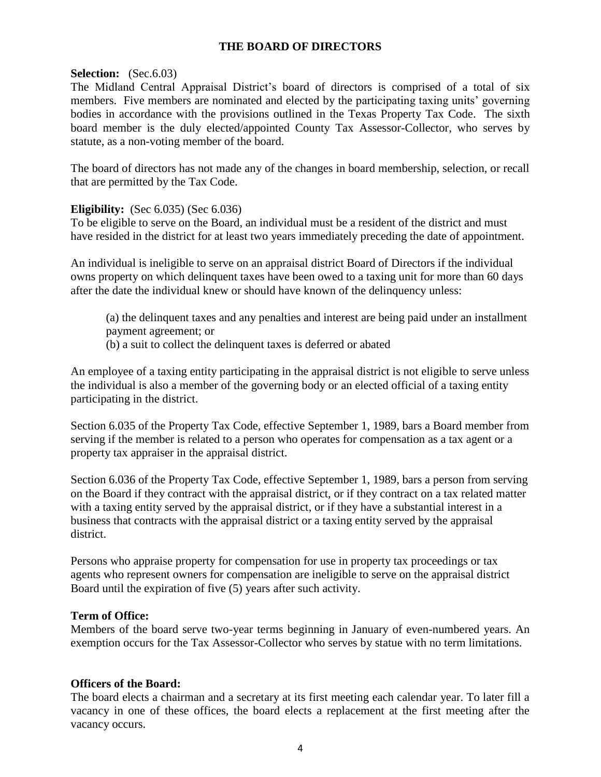# **THE BOARD OF DIRECTORS**

#### **Selection:** (Sec.6.03)

The Midland Central Appraisal District's board of directors is comprised of a total of six members. Five members are nominated and elected by the participating taxing units' governing bodies in accordance with the provisions outlined in the Texas Property Tax Code. The sixth board member is the duly elected/appointed County Tax Assessor-Collector, who serves by statute, as a non-voting member of the board.

The board of directors has not made any of the changes in board membership, selection, or recall that are permitted by the Tax Code.

#### **Eligibility:** (Sec 6.035) (Sec 6.036)

To be eligible to serve on the Board, an individual must be a resident of the district and must have resided in the district for at least two years immediately preceding the date of appointment.

An individual is ineligible to serve on an appraisal district Board of Directors if the individual owns property on which delinquent taxes have been owed to a taxing unit for more than 60 days after the date the individual knew or should have known of the delinquency unless:

- (a) the delinquent taxes and any penalties and interest are being paid under an installment payment agreement; or
- (b) a suit to collect the delinquent taxes is deferred or abated

An employee of a taxing entity participating in the appraisal district is not eligible to serve unless the individual is also a member of the governing body or an elected official of a taxing entity participating in the district.

Section 6.035 of the Property Tax Code, effective September 1, 1989, bars a Board member from serving if the member is related to a person who operates for compensation as a tax agent or a property tax appraiser in the appraisal district.

Section 6.036 of the Property Tax Code, effective September 1, 1989, bars a person from serving on the Board if they contract with the appraisal district, or if they contract on a tax related matter with a taxing entity served by the appraisal district, or if they have a substantial interest in a business that contracts with the appraisal district or a taxing entity served by the appraisal district.

Persons who appraise property for compensation for use in property tax proceedings or tax agents who represent owners for compensation are ineligible to serve on the appraisal district Board until the expiration of five (5) years after such activity.

#### **Term of Office:**

Members of the board serve two-year terms beginning in January of even-numbered years. An exemption occurs for the Tax Assessor-Collector who serves by statue with no term limitations.

#### **Officers of the Board:**

The board elects a chairman and a secretary at its first meeting each calendar year. To later fill a vacancy in one of these offices, the board elects a replacement at the first meeting after the vacancy occurs.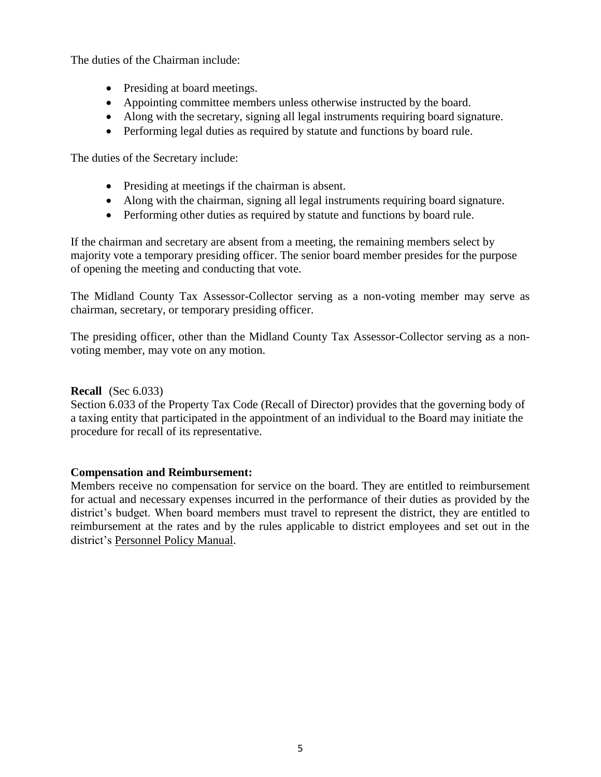The duties of the Chairman include:

- Presiding at board meetings.
- Appointing committee members unless otherwise instructed by the board.
- Along with the secretary, signing all legal instruments requiring board signature.
- Performing legal duties as required by statute and functions by board rule.

The duties of the Secretary include:

- Presiding at meetings if the chairman is absent.
- Along with the chairman, signing all legal instruments requiring board signature.
- Performing other duties as required by statute and functions by board rule.

If the chairman and secretary are absent from a meeting, the remaining members select by majority vote a temporary presiding officer. The senior board member presides for the purpose of opening the meeting and conducting that vote.

The Midland County Tax Assessor-Collector serving as a non-voting member may serve as chairman, secretary, or temporary presiding officer.

The presiding officer, other than the Midland County Tax Assessor-Collector serving as a nonvoting member, may vote on any motion.

#### **Recall** (Sec 6.033)

Section 6.033 of the Property Tax Code (Recall of Director) provides that the governing body of a taxing entity that participated in the appointment of an individual to the Board may initiate the procedure for recall of its representative.

#### **Compensation and Reimbursement:**

Members receive no compensation for service on the board. They are entitled to reimbursement for actual and necessary expenses incurred in the performance of their duties as provided by the district's budget. When board members must travel to represent the district, they are entitled to reimbursement at the rates and by the rules applicable to district employees and set out in the district's Personnel Policy Manual.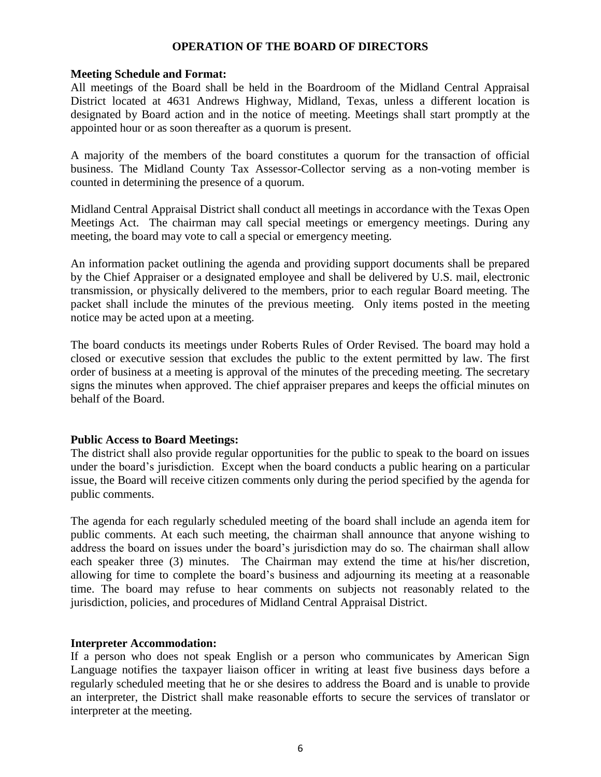#### **OPERATION OF THE BOARD OF DIRECTORS**

#### **Meeting Schedule and Format:**

All meetings of the Board shall be held in the Boardroom of the Midland Central Appraisal District located at 4631 Andrews Highway, Midland, Texas, unless a different location is designated by Board action and in the notice of meeting. Meetings shall start promptly at the appointed hour or as soon thereafter as a quorum is present.

A majority of the members of the board constitutes a quorum for the transaction of official business. The Midland County Tax Assessor-Collector serving as a non-voting member is counted in determining the presence of a quorum.

Midland Central Appraisal District shall conduct all meetings in accordance with the Texas Open Meetings Act. The chairman may call special meetings or emergency meetings. During any meeting, the board may vote to call a special or emergency meeting.

An information packet outlining the agenda and providing support documents shall be prepared by the Chief Appraiser or a designated employee and shall be delivered by U.S. mail, electronic transmission, or physically delivered to the members, prior to each regular Board meeting. The packet shall include the minutes of the previous meeting. Only items posted in the meeting notice may be acted upon at a meeting.

The board conducts its meetings under Roberts Rules of Order Revised. The board may hold a closed or executive session that excludes the public to the extent permitted by law. The first order of business at a meeting is approval of the minutes of the preceding meeting. The secretary signs the minutes when approved. The chief appraiser prepares and keeps the official minutes on behalf of the Board.

#### **Public Access to Board Meetings:**

The district shall also provide regular opportunities for the public to speak to the board on issues under the board's jurisdiction. Except when the board conducts a public hearing on a particular issue, the Board will receive citizen comments only during the period specified by the agenda for public comments.

The agenda for each regularly scheduled meeting of the board shall include an agenda item for public comments. At each such meeting, the chairman shall announce that anyone wishing to address the board on issues under the board's jurisdiction may do so. The chairman shall allow each speaker three (3) minutes. The Chairman may extend the time at his/her discretion, allowing for time to complete the board's business and adjourning its meeting at a reasonable time. The board may refuse to hear comments on subjects not reasonably related to the jurisdiction, policies, and procedures of Midland Central Appraisal District.

#### **Interpreter Accommodation:**

If a person who does not speak English or a person who communicates by American Sign Language notifies the taxpayer liaison officer in writing at least five business days before a regularly scheduled meeting that he or she desires to address the Board and is unable to provide an interpreter, the District shall make reasonable efforts to secure the services of translator or interpreter at the meeting.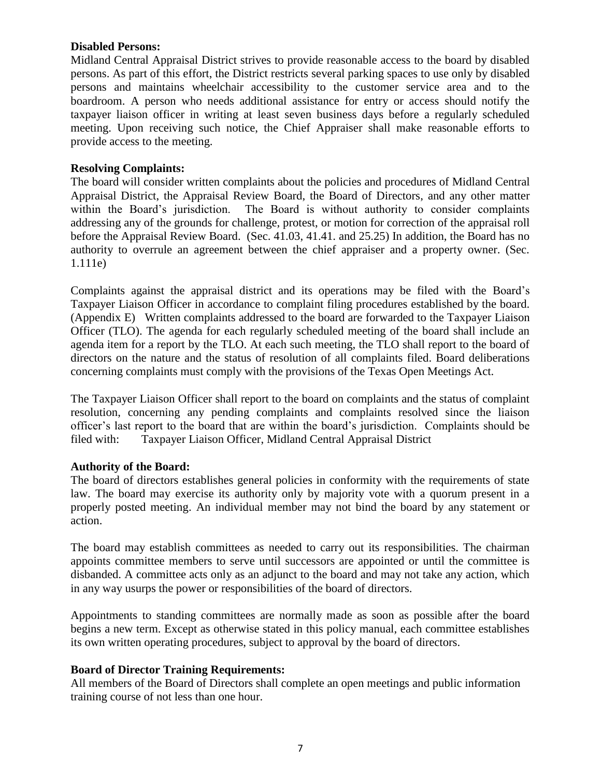#### **Disabled Persons:**

Midland Central Appraisal District strives to provide reasonable access to the board by disabled persons. As part of this effort, the District restricts several parking spaces to use only by disabled persons and maintains wheelchair accessibility to the customer service area and to the boardroom. A person who needs additional assistance for entry or access should notify the taxpayer liaison officer in writing at least seven business days before a regularly scheduled meeting. Upon receiving such notice, the Chief Appraiser shall make reasonable efforts to provide access to the meeting.

#### **Resolving Complaints:**

The board will consider written complaints about the policies and procedures of Midland Central Appraisal District, the Appraisal Review Board, the Board of Directors, and any other matter within the Board's jurisdiction. The Board is without authority to consider complaints addressing any of the grounds for challenge, protest, or motion for correction of the appraisal roll before the Appraisal Review Board. (Sec. 41.03, 41.41. and 25.25) In addition, the Board has no authority to overrule an agreement between the chief appraiser and a property owner. (Sec. 1.111e)

Complaints against the appraisal district and its operations may be filed with the Board's Taxpayer Liaison Officer in accordance to complaint filing procedures established by the board. (Appendix E) Written complaints addressed to the board are forwarded to the Taxpayer Liaison Officer (TLO). The agenda for each regularly scheduled meeting of the board shall include an agenda item for a report by the TLO. At each such meeting, the TLO shall report to the board of directors on the nature and the status of resolution of all complaints filed. Board deliberations concerning complaints must comply with the provisions of the Texas Open Meetings Act.

The Taxpayer Liaison Officer shall report to the board on complaints and the status of complaint resolution, concerning any pending complaints and complaints resolved since the liaison officer's last report to the board that are within the board's jurisdiction. Complaints should be filed with: Taxpayer Liaison Officer, Midland Central Appraisal District

#### **Authority of the Board:**

The board of directors establishes general policies in conformity with the requirements of state law. The board may exercise its authority only by majority vote with a quorum present in a properly posted meeting. An individual member may not bind the board by any statement or action.

The board may establish committees as needed to carry out its responsibilities. The chairman appoints committee members to serve until successors are appointed or until the committee is disbanded. A committee acts only as an adjunct to the board and may not take any action, which in any way usurps the power or responsibilities of the board of directors.

Appointments to standing committees are normally made as soon as possible after the board begins a new term. Except as otherwise stated in this policy manual, each committee establishes its own written operating procedures, subject to approval by the board of directors.

#### **Board of Director Training Requirements:**

All members of the Board of Directors shall complete an open meetings and public information training course of not less than one hour.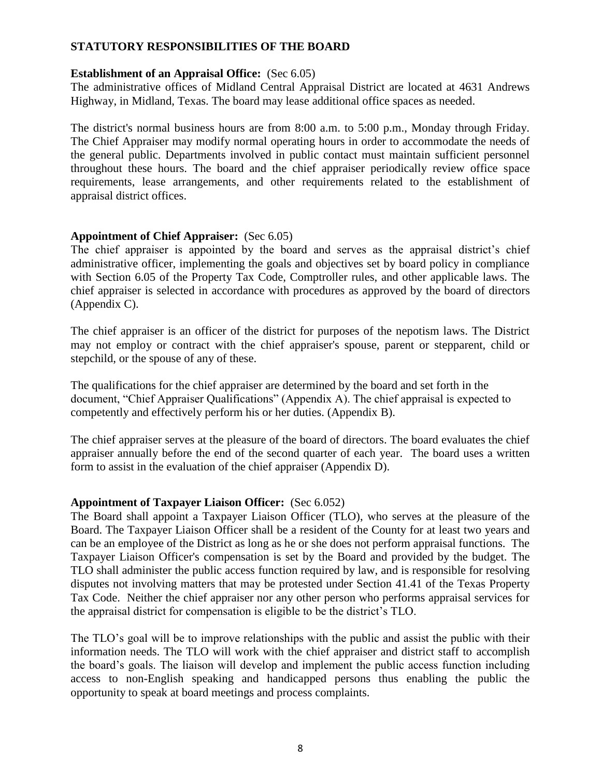# **STATUTORY RESPONSIBILITIES OF THE BOARD**

#### **Establishment of an Appraisal Office:** (Sec 6.05)

The administrative offices of Midland Central Appraisal District are located at 4631 Andrews Highway, in Midland, Texas. The board may lease additional office spaces as needed.

The district's normal business hours are from 8:00 a.m. to 5:00 p.m., Monday through Friday. The Chief Appraiser may modify normal operating hours in order to accommodate the needs of the general public. Departments involved in public contact must maintain sufficient personnel throughout these hours. The board and the chief appraiser periodically review office space requirements, lease arrangements, and other requirements related to the establishment of appraisal district offices.

#### **Appointment of Chief Appraiser:** (Sec 6.05)

The chief appraiser is appointed by the board and serves as the appraisal district's chief administrative officer, implementing the goals and objectives set by board policy in compliance with Section 6.05 of the Property Tax Code, Comptroller rules, and other applicable laws. The chief appraiser is selected in accordance with procedures as approved by the board of directors (Appendix C).

The chief appraiser is an officer of the district for purposes of the nepotism laws. The District may not employ or contract with the chief appraiser's spouse, parent or stepparent, child or stepchild, or the spouse of any of these.

The qualifications for the chief appraiser are determined by the board and set forth in the document, "Chief Appraiser Qualifications" (Appendix A). The chief appraisal is expected to competently and effectively perform his or her duties. (Appendix B).

The chief appraiser serves at the pleasure of the board of directors. The board evaluates the chief appraiser annually before the end of the second quarter of each year. The board uses a written form to assist in the evaluation of the chief appraiser (Appendix D).

#### **Appointment of Taxpayer Liaison Officer:** (Sec 6.052)

The Board shall appoint a Taxpayer Liaison Officer (TLO), who serves at the pleasure of the Board. The Taxpayer Liaison Officer shall be a resident of the County for at least two years and can be an employee of the District as long as he or she does not perform appraisal functions. The Taxpayer Liaison Officer's compensation is set by the Board and provided by the budget. The TLO shall administer the public access function required by law, and is responsible for resolving disputes not involving matters that may be protested under Section 41.41 of the Texas Property Tax Code. Neither the chief appraiser nor any other person who performs appraisal services for the appraisal district for compensation is eligible to be the district's TLO.

The TLO's goal will be to improve relationships with the public and assist the public with their information needs. The TLO will work with the chief appraiser and district staff to accomplish the board's goals. The liaison will develop and implement the public access function including access to non-English speaking and handicapped persons thus enabling the public the opportunity to speak at board meetings and process complaints.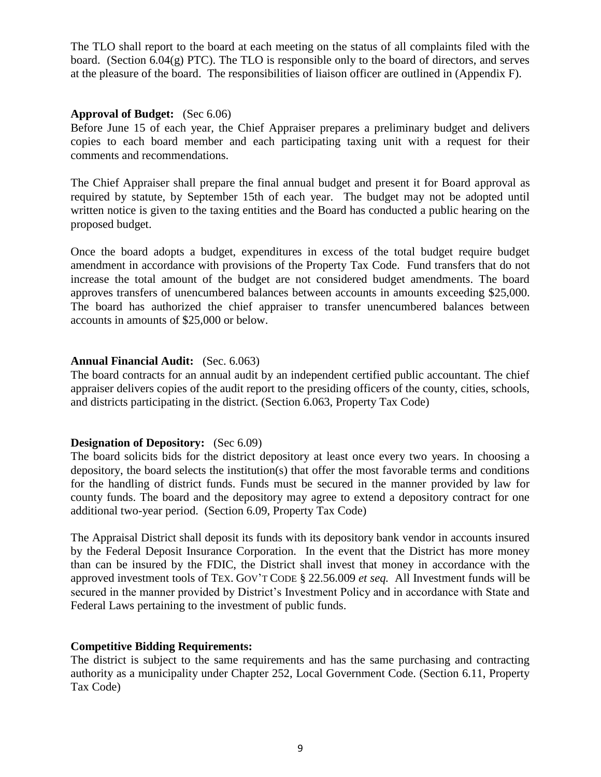The TLO shall report to the board at each meeting on the status of all complaints filed with the board. (Section  $6.04(g)$  PTC). The TLO is responsible only to the board of directors, and serves at the pleasure of the board. The responsibilities of liaison officer are outlined in (Appendix F).

#### **Approval of Budget:** (Sec 6.06)

Before June 15 of each year, the Chief Appraiser prepares a preliminary budget and delivers copies to each board member and each participating taxing unit with a request for their comments and recommendations.

The Chief Appraiser shall prepare the final annual budget and present it for Board approval as required by statute, by September 15th of each year. The budget may not be adopted until written notice is given to the taxing entities and the Board has conducted a public hearing on the proposed budget.

Once the board adopts a budget, expenditures in excess of the total budget require budget amendment in accordance with provisions of the Property Tax Code. Fund transfers that do not increase the total amount of the budget are not considered budget amendments. The board approves transfers of unencumbered balances between accounts in amounts exceeding \$25,000. The board has authorized the chief appraiser to transfer unencumbered balances between accounts in amounts of \$25,000 or below.

#### **Annual Financial Audit:** (Sec. 6.063)

The board contracts for an annual audit by an independent certified public accountant. The chief appraiser delivers copies of the audit report to the presiding officers of the county, cities, schools, and districts participating in the district. (Section 6.063, Property Tax Code)

#### **Designation of Depository:** (Sec 6.09)

The board solicits bids for the district depository at least once every two years. In choosing a depository, the board selects the institution(s) that offer the most favorable terms and conditions for the handling of district funds. Funds must be secured in the manner provided by law for county funds. The board and the depository may agree to extend a depository contract for one additional two-year period. (Section 6.09, Property Tax Code)

The Appraisal District shall deposit its funds with its depository bank vendor in accounts insured by the Federal Deposit Insurance Corporation. In the event that the District has more money than can be insured by the FDIC, the District shall invest that money in accordance with the approved investment tools of TEX. GOV'T CODE § 22.56.009 *et seq.* All Investment funds will be secured in the manner provided by District's Investment Policy and in accordance with State and Federal Laws pertaining to the investment of public funds.

#### **Competitive Bidding Requirements:**

The district is subject to the same requirements and has the same purchasing and contracting authority as a municipality under Chapter 252, Local Government Code. (Section 6.11, Property Tax Code)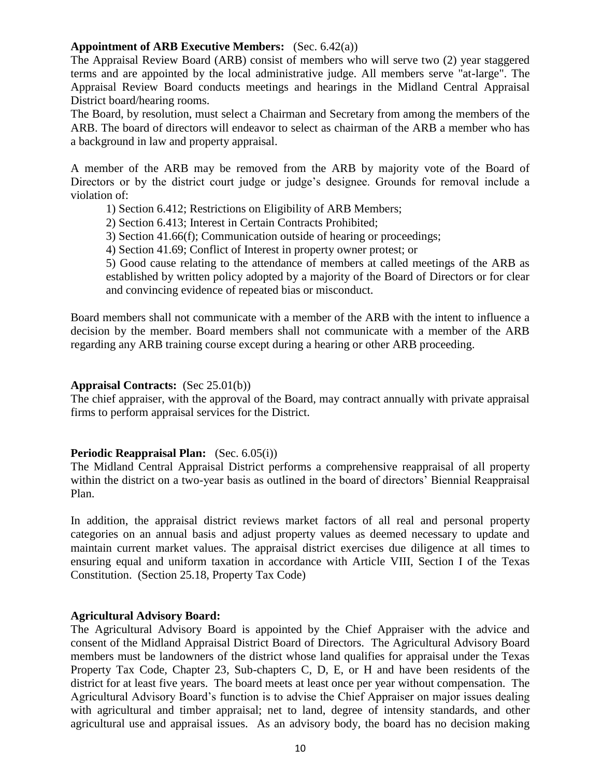#### **Appointment of ARB Executive Members:** (Sec. 6.42(a))

The Appraisal Review Board (ARB) consist of members who will serve two (2) year staggered terms and are appointed by the local administrative judge. All members serve "at-large". The Appraisal Review Board conducts meetings and hearings in the Midland Central Appraisal District board/hearing rooms.

The Board, by resolution, must select a Chairman and Secretary from among the members of the ARB. The board of directors will endeavor to select as chairman of the ARB a member who has a background in law and property appraisal.

A member of the ARB may be removed from the ARB by majority vote of the Board of Directors or by the district court judge or judge's designee. Grounds for removal include a violation of:

1) Section 6.412; Restrictions on Eligibility of ARB Members;

2) Section 6.413; Interest in Certain Contracts Prohibited;

3) Section 41.66(f); Communication outside of hearing or proceedings;

4) Section 41.69; Conflict of Interest in property owner protest; or

5) Good cause relating to the attendance of members at called meetings of the ARB as established by written policy adopted by a majority of the Board of Directors or for clear and convincing evidence of repeated bias or misconduct.

Board members shall not communicate with a member of the ARB with the intent to influence a decision by the member. Board members shall not communicate with a member of the ARB regarding any ARB training course except during a hearing or other ARB proceeding.

#### **Appraisal Contracts:** (Sec 25.01(b))

The chief appraiser, with the approval of the Board, may contract annually with private appraisal firms to perform appraisal services for the District.

#### **Periodic Reappraisal Plan:** (Sec. 6.05(i))

The Midland Central Appraisal District performs a comprehensive reappraisal of all property within the district on a two-year basis as outlined in the board of directors' Biennial Reappraisal Plan.

In addition, the appraisal district reviews market factors of all real and personal property categories on an annual basis and adjust property values as deemed necessary to update and maintain current market values. The appraisal district exercises due diligence at all times to ensuring equal and uniform taxation in accordance with Article VIII, Section I of the Texas Constitution. (Section 25.18, Property Tax Code)

#### **Agricultural Advisory Board:**

The Agricultural Advisory Board is appointed by the Chief Appraiser with the advice and consent of the Midland Appraisal District Board of Directors. The Agricultural Advisory Board members must be landowners of the district whose land qualifies for appraisal under the Texas Property Tax Code, Chapter 23, Sub-chapters C, D, E, or H and have been residents of the district for at least five years. The board meets at least once per year without compensation. The Agricultural Advisory Board's function is to advise the Chief Appraiser on major issues dealing with agricultural and timber appraisal; net to land, degree of intensity standards, and other agricultural use and appraisal issues. As an advisory body, the board has no decision making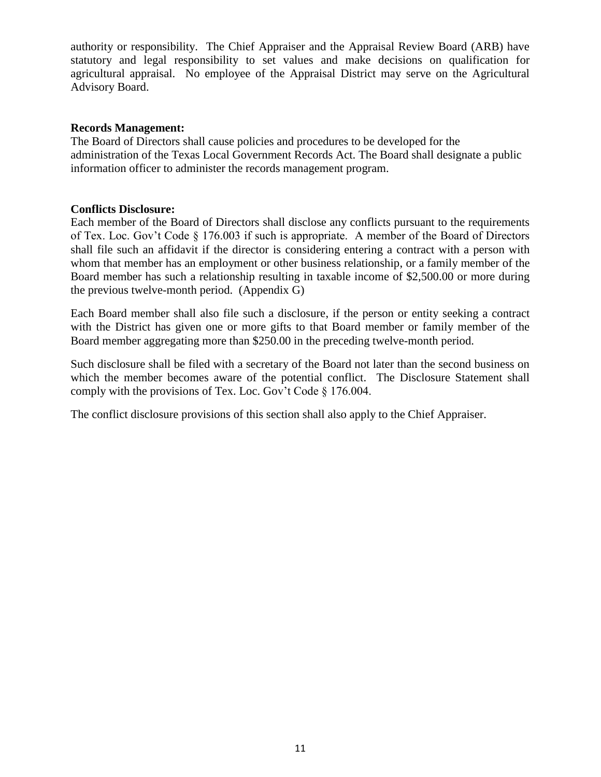authority or responsibility. The Chief Appraiser and the Appraisal Review Board (ARB) have statutory and legal responsibility to set values and make decisions on qualification for agricultural appraisal. No employee of the Appraisal District may serve on the Agricultural Advisory Board.

#### **Records Management:**

The Board of Directors shall cause policies and procedures to be developed for the administration of the Texas Local Government Records Act. The Board shall designate a public information officer to administer the records management program.

# **Conflicts Disclosure:**

Each member of the Board of Directors shall disclose any conflicts pursuant to the requirements of Tex. Loc. Gov't Code § 176.003 if such is appropriate. A member of the Board of Directors shall file such an affidavit if the director is considering entering a contract with a person with whom that member has an employment or other business relationship, or a family member of the Board member has such a relationship resulting in taxable income of \$2,500.00 or more during the previous twelve-month period. (Appendix G)

Each Board member shall also file such a disclosure, if the person or entity seeking a contract with the District has given one or more gifts to that Board member or family member of the Board member aggregating more than \$250.00 in the preceding twelve-month period.

Such disclosure shall be filed with a secretary of the Board not later than the second business on which the member becomes aware of the potential conflict. The Disclosure Statement shall comply with the provisions of Tex. Loc. Gov't Code § 176.004.

The conflict disclosure provisions of this section shall also apply to the Chief Appraiser.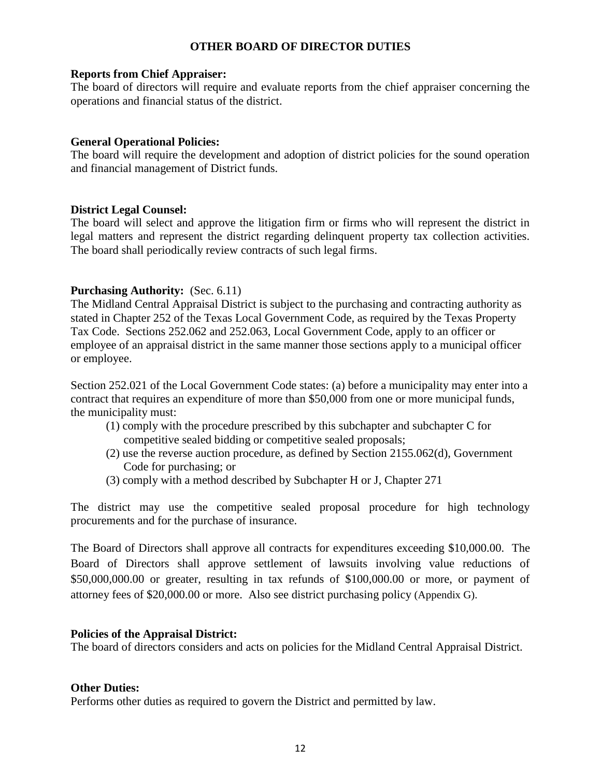#### **OTHER BOARD OF DIRECTOR DUTIES**

#### **Reports from Chief Appraiser:**

The board of directors will require and evaluate reports from the chief appraiser concerning the operations and financial status of the district.

#### **General Operational Policies:**

The board will require the development and adoption of district policies for the sound operation and financial management of District funds.

#### **District Legal Counsel:**

The board will select and approve the litigation firm or firms who will represent the district in legal matters and represent the district regarding delinquent property tax collection activities. The board shall periodically review contracts of such legal firms.

#### **Purchasing Authority:** (Sec. 6.11)

The Midland Central Appraisal District is subject to the purchasing and contracting authority as stated in Chapter 252 of the Texas Local Government Code, as required by the Texas Property Tax Code. Sections 252.062 and 252.063, Local Government Code, apply to an officer or employee of an appraisal district in the same manner those sections apply to a municipal officer or employee.

Section 252.021 of the Local Government Code states: (a) before a municipality may enter into a contract that requires an expenditure of more than \$50,000 from one or more municipal funds, the municipality must:

- (1) comply with the procedure prescribed by this subchapter and subchapter C for competitive sealed bidding or competitive sealed proposals;
- (2) use the reverse auction procedure, as defined by Section 2155.062(d), Government Code for purchasing; or
- (3) comply with a method described by Subchapter H or J, Chapter 271

The district may use the competitive sealed proposal procedure for high technology procurements and for the purchase of insurance.

The Board of Directors shall approve all contracts for expenditures exceeding \$10,000.00. The Board of Directors shall approve settlement of lawsuits involving value reductions of \$50,000,000.00 or greater, resulting in tax refunds of \$100,000.00 or more, or payment of attorney fees of \$20,000.00 or more. Also see district purchasing policy (Appendix G).

#### **Policies of the Appraisal District:**

The board of directors considers and acts on policies for the Midland Central Appraisal District.

#### **Other Duties:**

Performs other duties as required to govern the District and permitted by law.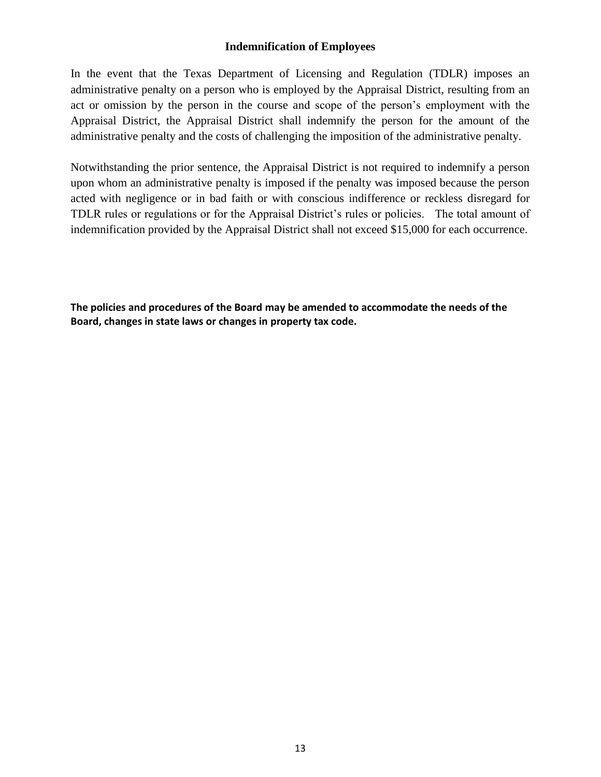# **Indemnification of Employees**

In the event that the Texas Department of Licensing and Regulation (TDLR) imposes an administrative penalty on a person who is employed by the Appraisal District, resulting from an act or omission by the person in the course and scope of the person's employment with the Appraisal District, the Appraisal District shall indemnify the person for the amount of the administrative penalty and the costs of challenging the imposition of the administrative penalty.

Notwithstanding the prior sentence, the Appraisal District is not required to indemnify a person upon whom an administrative penalty is imposed if the penalty was imposed because the person acted with negligence or in bad faith or with conscious indifference or reckless disregard for TDLR rules or regulations or for the Appraisal District's rules or policies. The total amount of indemnification provided by the Appraisal District shall not exceed \$15,000 for each occurrence.

**The policies and procedures of the Board may be amended to accommodate the needs of the Board, changes in state laws or changes in property tax code.**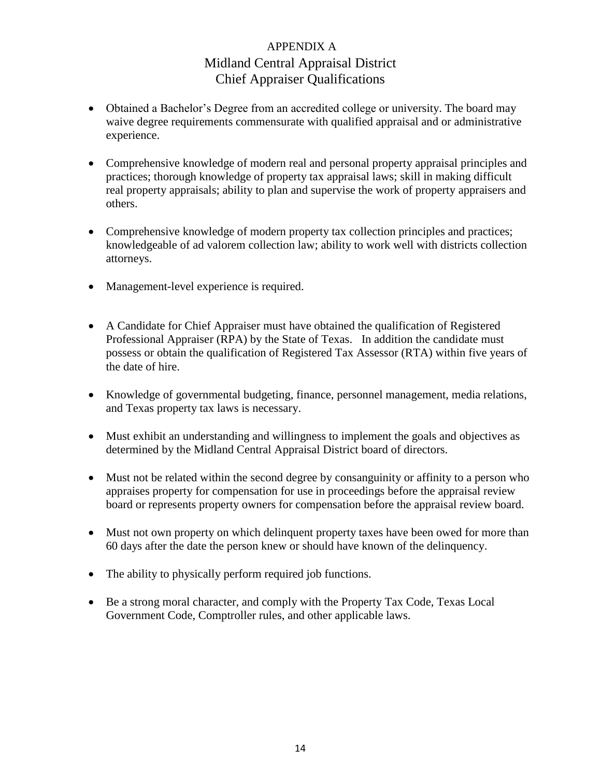# APPENDIX A Midland Central Appraisal District Chief Appraiser Qualifications

- Obtained a Bachelor's Degree from an accredited college or university. The board may waive degree requirements commensurate with qualified appraisal and or administrative experience.
- Comprehensive knowledge of modern real and personal property appraisal principles and practices; thorough knowledge of property tax appraisal laws; skill in making difficult real property appraisals; ability to plan and supervise the work of property appraisers and others.
- Comprehensive knowledge of modern property tax collection principles and practices; knowledgeable of ad valorem collection law; ability to work well with districts collection attorneys.
- Management-level experience is required.
- A Candidate for Chief Appraiser must have obtained the qualification of Registered Professional Appraiser (RPA) by the State of Texas. In addition the candidate must possess or obtain the qualification of Registered Tax Assessor (RTA) within five years of the date of hire.
- Knowledge of governmental budgeting, finance, personnel management, media relations, and Texas property tax laws is necessary.
- Must exhibit an understanding and willingness to implement the goals and objectives as determined by the Midland Central Appraisal District board of directors.
- Must not be related within the second degree by consanguinity or affinity to a person who appraises property for compensation for use in proceedings before the appraisal review board or represents property owners for compensation before the appraisal review board.
- Must not own property on which delinguent property taxes have been owed for more than 60 days after the date the person knew or should have known of the delinquency.
- The ability to physically perform required job functions.
- Be a strong moral character, and comply with the Property Tax Code, Texas Local Government Code, Comptroller rules, and other applicable laws.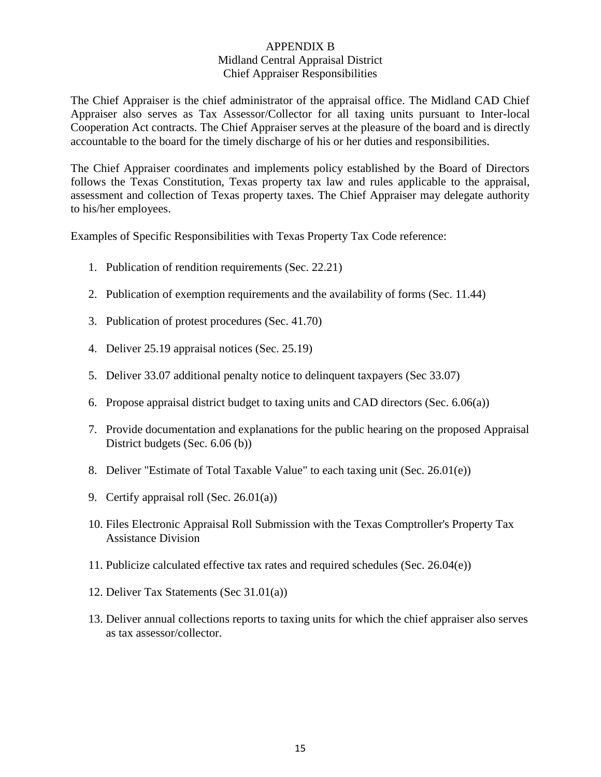# APPENDIX B Midland Central Appraisal District Chief Appraiser Responsibilities

The Chief Appraiser is the chief administrator of the appraisal office. The Midland CAD Chief Appraiser also serves as Tax Assessor/Collector for all taxing units pursuant to Inter-local Cooperation Act contracts. The Chief Appraiser serves at the pleasure of the board and is directly accountable to the board for the timely discharge of his or her duties and responsibilities.

The Chief Appraiser coordinates and implements policy established by the Board of Directors follows the Texas Constitution, Texas property tax law and rules applicable to the appraisal, assessment and collection of Texas property taxes. The Chief Appraiser may delegate authority to his/her employees.

Examples of Specific Responsibilities with Texas Property Tax Code reference:

- 1. Publication of rendition requirements (Sec. 22.21)
- 2. Publication of exemption requirements and the availability of forms (Sec. 11.44)
- 3. Publication of protest procedures (Sec. 41.70)
- 4. Deliver 25.19 appraisal notices (Sec. 25.19)
- 5. Deliver 33.07 additional penalty notice to delinquent taxpayers (Sec 33.07)
- 6. Propose appraisal district budget to taxing units and CAD directors (Sec. 6.06(a))
- 7. Provide documentation and explanations for the public hearing on the proposed Appraisal District budgets (Sec. 6.06 (b))
- 8. Deliver "Estimate of Total Taxable Value" to each taxing unit (Sec. 26.01(e))
- 9. Certify appraisal roll (Sec. 26.01(a))
- 10. Files Electronic Appraisal Roll Submission with the Texas Comptroller's Property Tax Assistance Division
- 11. Publicize calculated effective tax rates and required schedules (Sec. 26.04(e))
- 12. Deliver Tax Statements (Sec 31.01(a))
- 13. Deliver annual collections reports to taxing units for which the chief appraiser also serves as tax assessor/collector.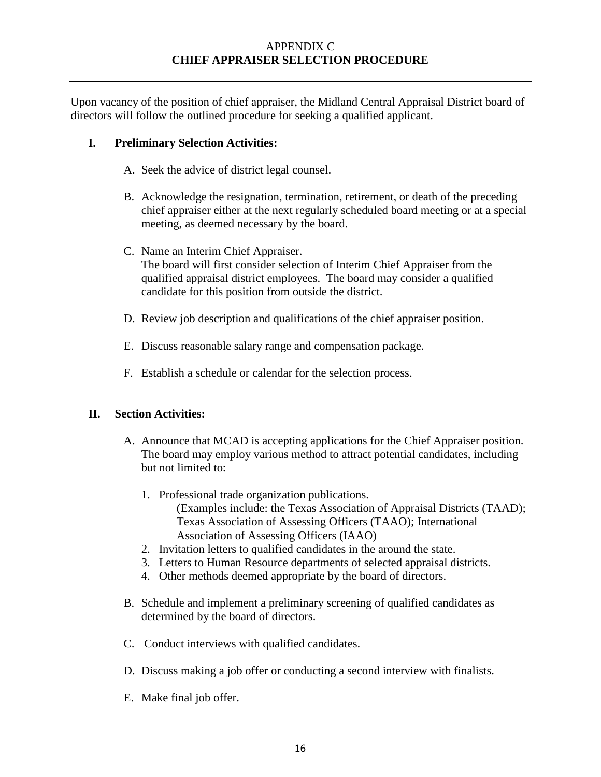# APPENDIX C **CHIEF APPRAISER SELECTION PROCEDURE**

Upon vacancy of the position of chief appraiser, the Midland Central Appraisal District board of directors will follow the outlined procedure for seeking a qualified applicant.

# **I. Preliminary Selection Activities:**

- A. Seek the advice of district legal counsel.
- B. Acknowledge the resignation, termination, retirement, or death of the preceding chief appraiser either at the next regularly scheduled board meeting or at a special meeting, as deemed necessary by the board.
- C. Name an Interim Chief Appraiser. The board will first consider selection of Interim Chief Appraiser from the qualified appraisal district employees. The board may consider a qualified candidate for this position from outside the district.
- D. Review job description and qualifications of the chief appraiser position.
- E. Discuss reasonable salary range and compensation package.
- F. Establish a schedule or calendar for the selection process.

#### **II. Section Activities:**

- A. Announce that MCAD is accepting applications for the Chief Appraiser position. The board may employ various method to attract potential candidates, including but not limited to:
	- 1. Professional trade organization publications. (Examples include: the Texas Association of Appraisal Districts (TAAD); Texas Association of Assessing Officers (TAAO); International Association of Assessing Officers (IAAO)
	- 2. Invitation letters to qualified candidates in the around the state.
	- 3. Letters to Human Resource departments of selected appraisal districts.
	- 4. Other methods deemed appropriate by the board of directors.
- B. Schedule and implement a preliminary screening of qualified candidates as determined by the board of directors.
- C. Conduct interviews with qualified candidates.
- D. Discuss making a job offer or conducting a second interview with finalists.
- E. Make final job offer.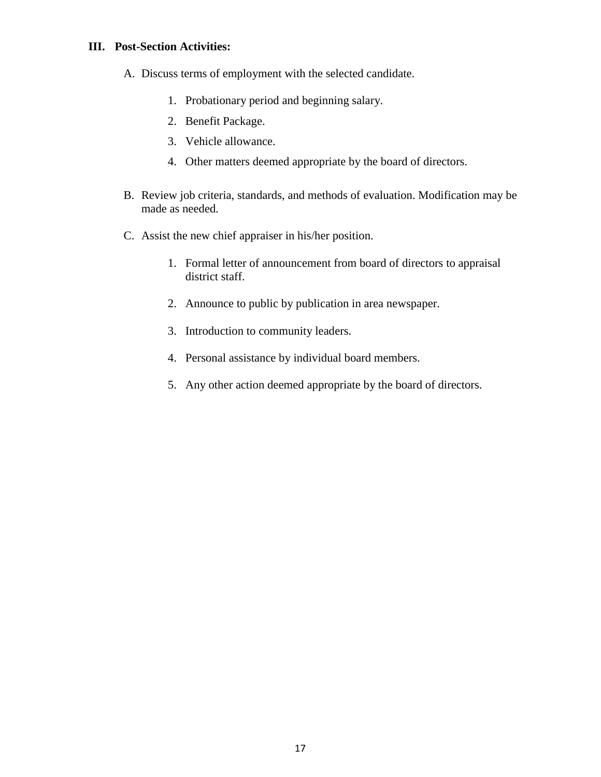#### **III. Post-Section Activities:**

- A. Discuss terms of employment with the selected candidate.
	- 1. Probationary period and beginning salary.
	- 2. Benefit Package.
	- 3. Vehicle allowance.
	- 4. Other matters deemed appropriate by the board of directors.
- B. Review job criteria, standards, and methods of evaluation. Modification may be made as needed.
- C. Assist the new chief appraiser in his/her position.
	- 1. Formal letter of announcement from board of directors to appraisal district staff.
	- 2. Announce to public by publication in area newspaper.
	- 3. Introduction to community leaders.
	- 4. Personal assistance by individual board members.
	- 5. Any other action deemed appropriate by the board of directors.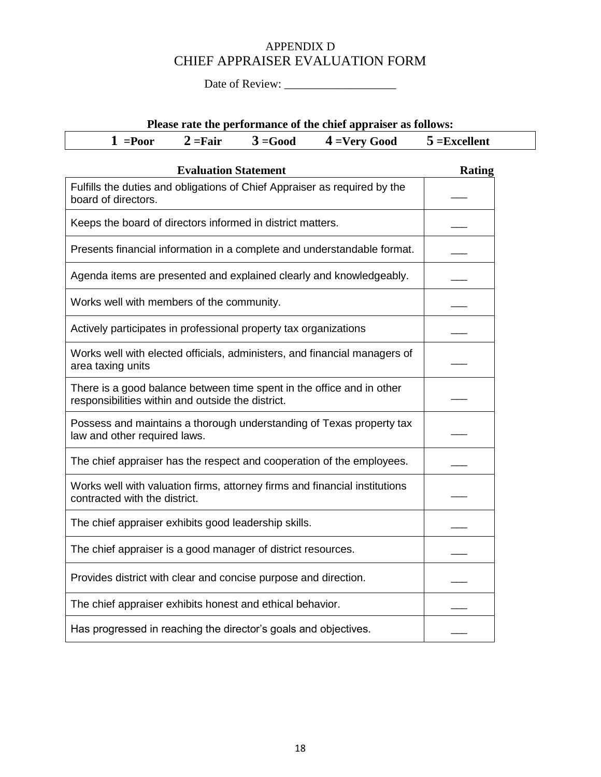# APPENDIX D CHIEF APPRAISER EVALUATION FORM

Date of Review: \_\_\_\_\_\_\_\_\_\_\_\_\_\_\_\_\_\_\_

| Please rate the performance of the chief appraiser as follows: |
|----------------------------------------------------------------|
|----------------------------------------------------------------|

| $1 = Poor$ | $2 = \text{Fair}$ | $3 = Good$ | $4 = Very Good$ | $5 =$ Excellent |  |
|------------|-------------------|------------|-----------------|-----------------|--|
|------------|-------------------|------------|-----------------|-----------------|--|

| <b>Evaluation Statement</b>                                                                                                | <b>Rating</b> |
|----------------------------------------------------------------------------------------------------------------------------|---------------|
| Fulfills the duties and obligations of Chief Appraiser as required by the<br>board of directors.                           |               |
| Keeps the board of directors informed in district matters.                                                                 |               |
| Presents financial information in a complete and understandable format.                                                    |               |
| Agenda items are presented and explained clearly and knowledgeably.                                                        |               |
| Works well with members of the community.                                                                                  |               |
| Actively participates in professional property tax organizations                                                           |               |
| Works well with elected officials, administers, and financial managers of<br>area taxing units                             |               |
| There is a good balance between time spent in the office and in other<br>responsibilities within and outside the district. |               |
| Possess and maintains a thorough understanding of Texas property tax<br>law and other required laws.                       |               |
| The chief appraiser has the respect and cooperation of the employees.                                                      |               |
| Works well with valuation firms, attorney firms and financial institutions<br>contracted with the district.                |               |
| The chief appraiser exhibits good leadership skills.                                                                       |               |
| The chief appraiser is a good manager of district resources.                                                               |               |
| Provides district with clear and concise purpose and direction.                                                            |               |
| The chief appraiser exhibits honest and ethical behavior.                                                                  |               |
| Has progressed in reaching the director's goals and objectives.                                                            |               |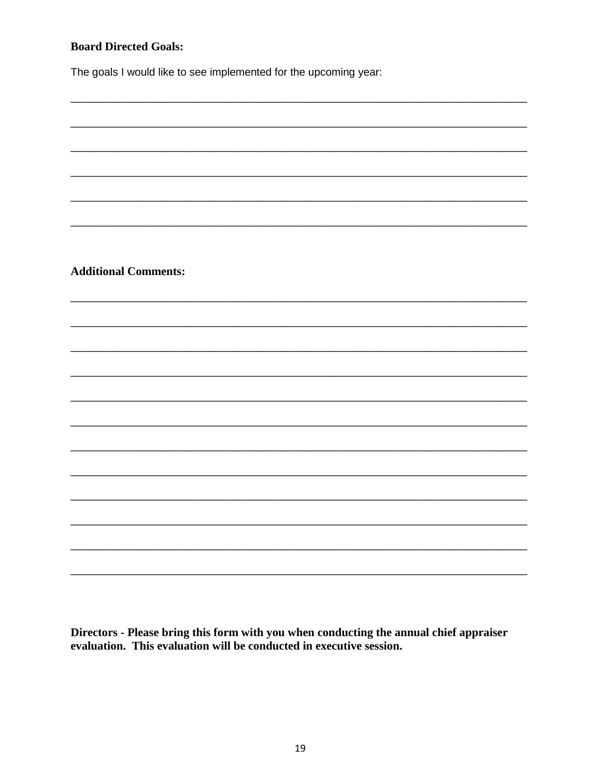# **Board Directed Goals:**

The goals I would like to see implemented for the upcoming year:

**Additional Comments:** 

Directors - Please bring this form with you when conducting the annual chief appraiser evaluation. This evaluation will be conducted in executive session.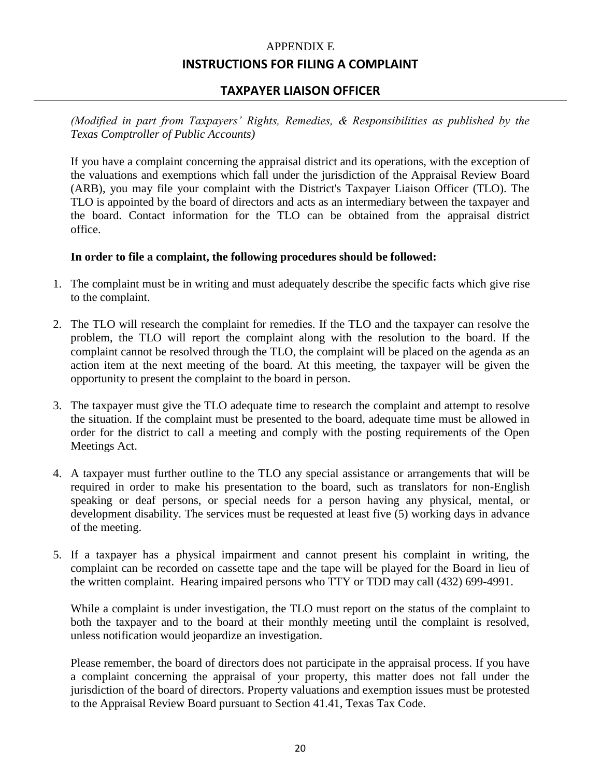# APPENDIX E **INSTRUCTIONS FOR FILING A COMPLAINT**

# **TAXPAYER LIAISON OFFICER**

*(Modified in part from Taxpayers' Rights, Remedies, & Responsibilities as published by the Texas Comptroller of Public Accounts)*

If you have a complaint concerning the appraisal district and its operations, with the exception of the valuations and exemptions which fall under the jurisdiction of the Appraisal Review Board (ARB), you may file your complaint with the District's Taxpayer Liaison Officer (TLO). The TLO is appointed by the board of directors and acts as an intermediary between the taxpayer and the board. Contact information for the TLO can be obtained from the appraisal district office.

#### **In order to file a complaint, the following procedures should be followed:**

- 1. The complaint must be in writing and must adequately describe the specific facts which give rise to the complaint.
- 2. The TLO will research the complaint for remedies. If the TLO and the taxpayer can resolve the problem, the TLO will report the complaint along with the resolution to the board. If the complaint cannot be resolved through the TLO, the complaint will be placed on the agenda as an action item at the next meeting of the board. At this meeting, the taxpayer will be given the opportunity to present the complaint to the board in person.
- 3. The taxpayer must give the TLO adequate time to research the complaint and attempt to resolve the situation. If the complaint must be presented to the board, adequate time must be allowed in order for the district to call a meeting and comply with the posting requirements of the Open Meetings Act.
- 4. A taxpayer must further outline to the TLO any special assistance or arrangements that will be required in order to make his presentation to the board, such as translators for non-English speaking or deaf persons, or special needs for a person having any physical, mental, or development disability. The services must be requested at least five (5) working days in advance of the meeting.
- 5. If a taxpayer has a physical impairment and cannot present his complaint in writing, the complaint can be recorded on cassette tape and the tape will be played for the Board in lieu of the written complaint. Hearing impaired persons who TTY or TDD may call (432) 699-4991.

While a complaint is under investigation, the TLO must report on the status of the complaint to both the taxpayer and to the board at their monthly meeting until the complaint is resolved, unless notification would jeopardize an investigation.

Please remember, the board of directors does not participate in the appraisal process. If you have a complaint concerning the appraisal of your property, this matter does not fall under the jurisdiction of the board of directors. Property valuations and exemption issues must be protested to the Appraisal Review Board pursuant to Section 41.41, Texas Tax Code.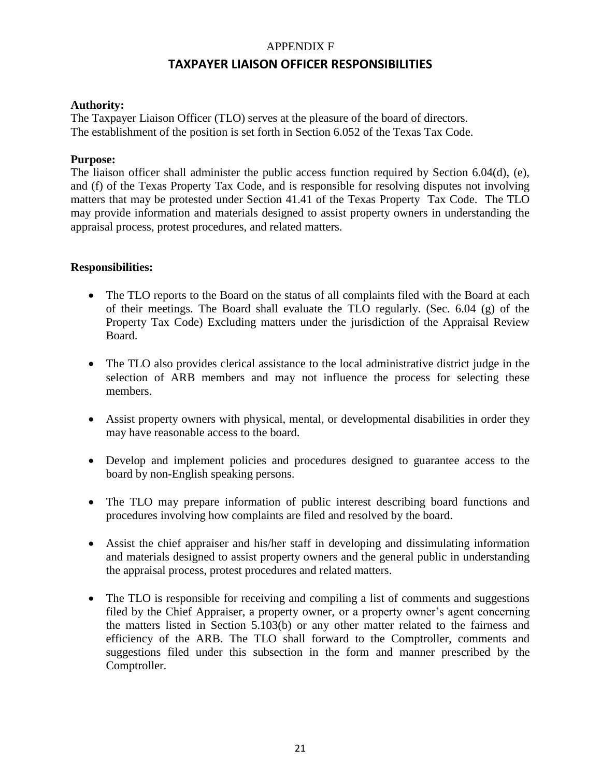# APPENDIX F **TAXPAYER LIAISON OFFICER RESPONSIBILITIES**

# **Authority:**

The Taxpayer Liaison Officer (TLO) serves at the pleasure of the board of directors. The establishment of the position is set forth in Section 6.052 of the Texas Tax Code.

#### **Purpose:**

The liaison officer shall administer the public access function required by Section 6.04(d), (e), and (f) of the Texas Property Tax Code, and is responsible for resolving disputes not involving matters that may be protested under Section 41.41 of the Texas Property Tax Code. The TLO may provide information and materials designed to assist property owners in understanding the appraisal process, protest procedures, and related matters.

#### **Responsibilities:**

- The TLO reports to the Board on the status of all complaints filed with the Board at each of their meetings. The Board shall evaluate the TLO regularly. (Sec. 6.04 (g) of the Property Tax Code) Excluding matters under the jurisdiction of the Appraisal Review Board.
- The TLO also provides clerical assistance to the local administrative district judge in the selection of ARB members and may not influence the process for selecting these members.
- Assist property owners with physical, mental, or developmental disabilities in order they may have reasonable access to the board.
- Develop and implement policies and procedures designed to guarantee access to the board by non-English speaking persons.
- The TLO may prepare information of public interest describing board functions and procedures involving how complaints are filed and resolved by the board.
- Assist the chief appraiser and his/her staff in developing and dissimulating information and materials designed to assist property owners and the general public in understanding the appraisal process, protest procedures and related matters.
- The TLO is responsible for receiving and compiling a list of comments and suggestions filed by the Chief Appraiser, a property owner, or a property owner's agent concerning the matters listed in Section 5.103(b) or any other matter related to the fairness and efficiency of the ARB. The TLO shall forward to the Comptroller, comments and suggestions filed under this subsection in the form and manner prescribed by the Comptroller.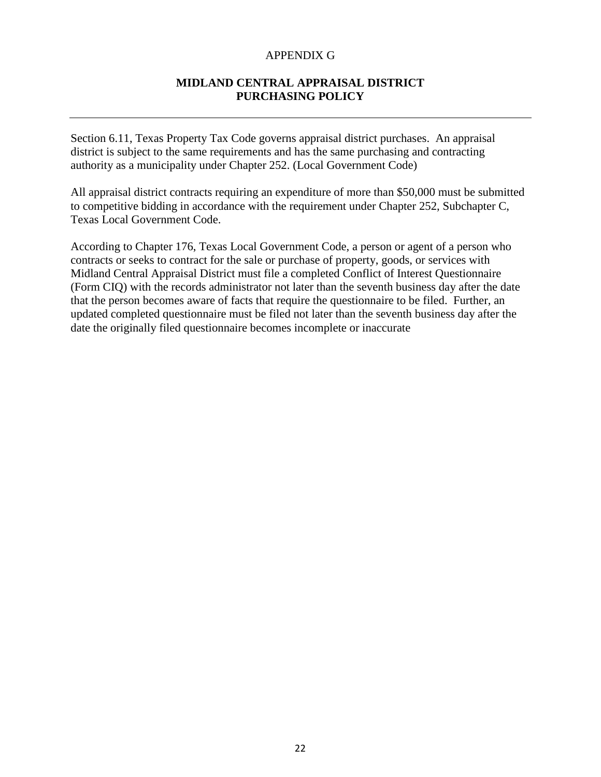#### APPENDIX G

# **MIDLAND CENTRAL APPRAISAL DISTRICT PURCHASING POLICY**

Section 6.11, Texas Property Tax Code governs appraisal district purchases. An appraisal district is subject to the same requirements and has the same purchasing and contracting authority as a municipality under Chapter 252. (Local Government Code)

All appraisal district contracts requiring an expenditure of more than \$50,000 must be submitted to competitive bidding in accordance with the requirement under Chapter 252, Subchapter C, Texas Local Government Code.

According to Chapter 176, Texas Local Government Code, a person or agent of a person who contracts or seeks to contract for the sale or purchase of property, goods, or services with Midland Central Appraisal District must file a completed Conflict of Interest Questionnaire (Form CIQ) with the records administrator not later than the seventh business day after the date that the person becomes aware of facts that require the questionnaire to be filed. Further, an updated completed questionnaire must be filed not later than the seventh business day after the date the originally filed questionnaire becomes incomplete or inaccurate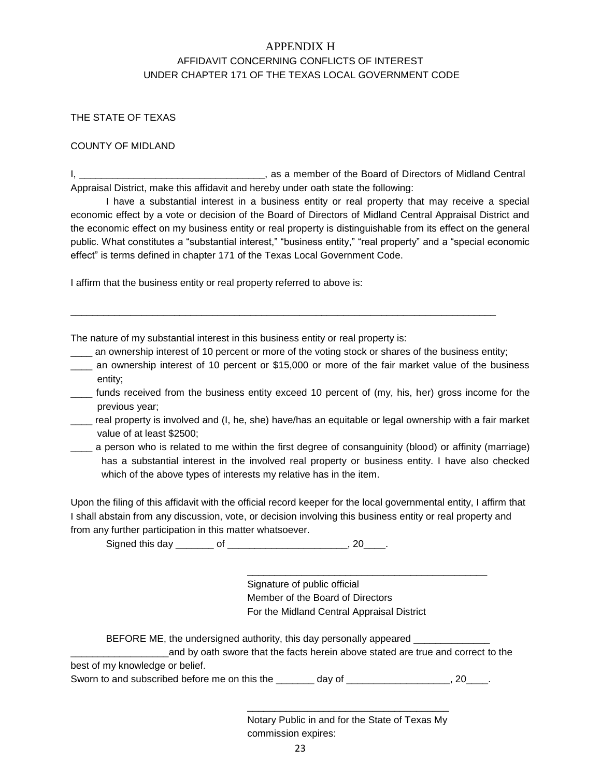# APPENDIX H AFFIDAVIT CONCERNING CONFLICTS OF INTEREST UNDER CHAPTER 171 OF THE TEXAS LOCAL GOVERNMENT CODE

#### THE STATE OF TEXAS

#### COUNTY OF MIDLAND

I, \_\_\_\_\_\_\_\_\_\_\_\_\_\_\_\_\_\_\_\_\_\_\_\_\_\_\_\_\_\_\_\_\_\_, as a member of the Board of Directors of Midland Central Appraisal District, make this affidavit and hereby under oath state the following:

I have a substantial interest in a business entity or real property that may receive a special economic effect by a vote or decision of the Board of Directors of Midland Central Appraisal District and the economic effect on my business entity or real property is distinguishable from its effect on the general public. What constitutes a "substantial interest," "business entity," "real property" and a "special economic effect" is terms defined in chapter 171 of the Texas Local Government Code.

I affirm that the business entity or real property referred to above is:

The nature of my substantial interest in this business entity or real property is:

an ownership interest of 10 percent or more of the voting stock or shares of the business entity;

\_\_\_\_\_\_\_\_\_\_\_\_\_\_\_\_\_\_\_\_\_\_\_\_\_\_\_\_\_\_\_\_\_\_\_\_\_\_\_\_\_\_\_\_\_\_\_\_\_\_\_\_\_\_\_\_\_\_\_\_\_\_\_\_\_\_\_\_\_\_\_\_\_\_\_\_\_\_

- \_\_\_\_ an ownership interest of 10 percent or \$15,000 or more of the fair market value of the business entity;
- \_\_\_\_ funds received from the business entity exceed 10 percent of (my, his, her) gross income for the previous year;
- \_\_\_\_ real property is involved and (I, he, she) have/has an equitable or legal ownership with a fair market value of at least \$2500;
- \_\_\_\_ a person who is related to me within the first degree of consanguinity (blood) or affinity (marriage) has a substantial interest in the involved real property or business entity. I have also checked which of the above types of interests my relative has in the item.

Upon the filing of this affidavit with the official record keeper for the local governmental entity, I affirm that I shall abstain from any discussion, vote, or decision involving this business entity or real property and from any further participation in this matter whatsoever.

Signed this day \_\_\_\_\_\_\_ of \_\_\_\_\_\_\_\_\_\_\_\_\_\_\_\_\_\_\_\_\_\_, 20\_\_\_\_.

Signature of public official Member of the Board of Directors For the Midland Central Appraisal District

\_\_\_\_\_\_\_\_\_\_\_\_\_\_\_\_\_\_\_\_\_\_\_\_\_\_\_\_\_\_\_\_\_\_\_\_\_\_\_\_\_\_\_\_

BEFORE ME, the undersigned authority, this day personally appeared

|                                 | and by oath swore that the facts herein above stated are true and correct to the |  |  |  |
|---------------------------------|----------------------------------------------------------------------------------|--|--|--|
| best of my knowledge or belief. |                                                                                  |  |  |  |

Sworn to and subscribed before me on this the \_\_\_\_\_\_\_ day of \_\_\_\_\_\_\_\_\_\_\_\_\_\_\_\_\_\_, 20\_\_\_\_.

Notary Public in and for the State of Texas My commission expires:

\_\_\_\_\_\_\_\_\_\_\_\_\_\_\_\_\_\_\_\_\_\_\_\_\_\_\_\_\_\_\_\_\_\_\_\_\_